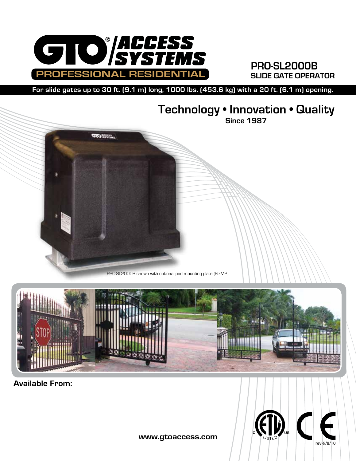

## **PRO-SL2000B SLIDE GATE OPERATOR**

**For slide gates up to 30 ft. (9.1 m) long, 1000 lbs. (453.6 kg) with a 20 ft. (6.1 m) opening.**

## **Technology • Innovation • Quality**

**Since 1987**





**Available From:**